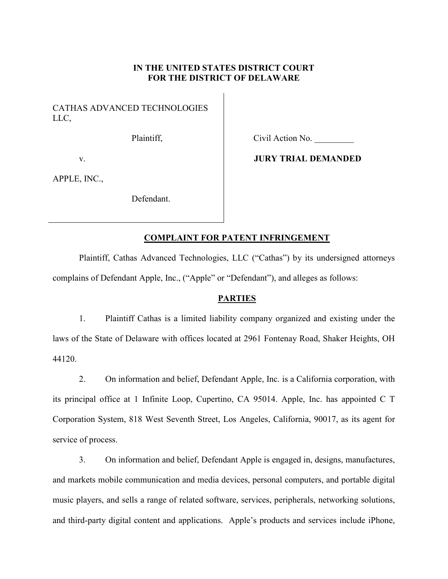## **IN THE UNITED STATES DISTRICT COURT FOR THE DISTRICT OF DELAWARE**

CATHAS ADVANCED TECHNOLOGIES LLC,

Plaintiff,

Civil Action No. \_\_\_\_\_\_\_\_\_

v.

APPLE, INC.,

Defendant.

# **JURY TRIAL DEMANDED**

## **COMPLAINT FOR PATENT INFRINGEMENT**

Plaintiff, Cathas Advanced Technologies, LLC ("Cathas") by its undersigned attorneys complains of Defendant Apple, Inc., ("Apple" or "Defendant"), and alleges as follows:

#### **PARTIES**

1. Plaintiff Cathas is a limited liability company organized and existing under the laws of the State of Delaware with offices located at 2961 Fontenay Road, Shaker Heights, OH 44120.

2. On information and belief, Defendant Apple, Inc. is a California corporation, with its principal office at 1 Infinite Loop, Cupertino, CA 95014. Apple, Inc. has appointed C T Corporation System, 818 West Seventh Street, Los Angeles, California, 90017, as its agent for service of process.

3. On information and belief, Defendant Apple is engaged in, designs, manufactures, and markets mobile communication and media devices, personal computers, and portable digital music players, and sells a range of related software, services, peripherals, networking solutions, and third-party digital content and applications. Apple's products and services include iPhone,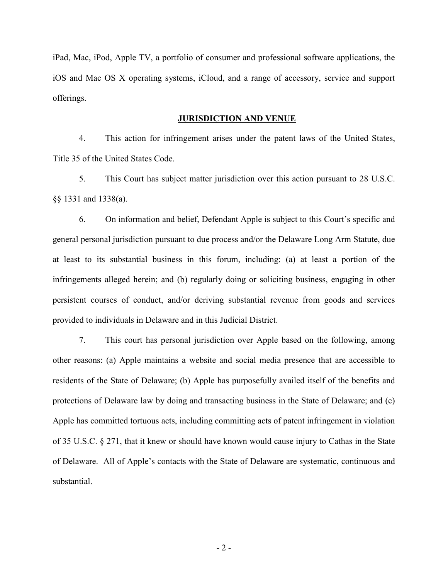iPad, Mac, iPod, Apple TV, a portfolio of consumer and professional software applications, the iOS and Mac OS X operating systems, iCloud, and a range of accessory, service and support offerings.

#### **JURISDICTION AND VENUE**

4. This action for infringement arises under the patent laws of the United States, Title 35 of the United States Code.

5. This Court has subject matter jurisdiction over this action pursuant to 28 U.S.C. §§ 1331 and 1338(a).

6. On information and belief, Defendant Apple is subject to this Court's specific and general personal jurisdiction pursuant to due process and/or the Delaware Long Arm Statute, due at least to its substantial business in this forum, including: (a) at least a portion of the infringements alleged herein; and (b) regularly doing or soliciting business, engaging in other persistent courses of conduct, and/or deriving substantial revenue from goods and services provided to individuals in Delaware and in this Judicial District.

7. This court has personal jurisdiction over Apple based on the following, among other reasons: (a) Apple maintains a website and social media presence that are accessible to residents of the State of Delaware; (b) Apple has purposefully availed itself of the benefits and protections of Delaware law by doing and transacting business in the State of Delaware; and (c) Apple has committed tortuous acts, including committing acts of patent infringement in violation of 35 U.S.C. § 271, that it knew or should have known would cause injury to Cathas in the State of Delaware. All of Apple's contacts with the State of Delaware are systematic, continuous and substantial.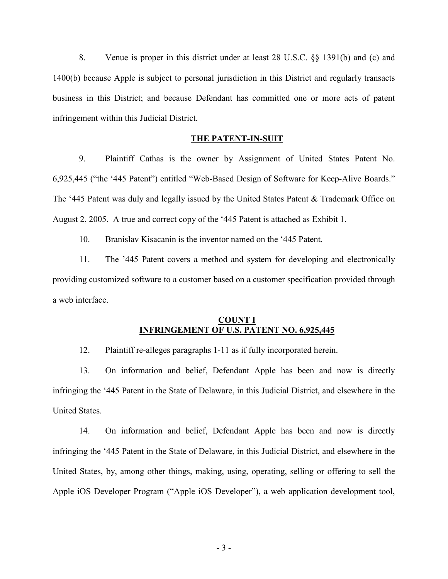8. Venue is proper in this district under at least 28 U.S.C. §§ 1391(b) and (c) and 1400(b) because Apple is subject to personal jurisdiction in this District and regularly transacts business in this District; and because Defendant has committed one or more acts of patent infringement within this Judicial District.

#### **THE PATENT-IN-SUIT**

9. Plaintiff Cathas is the owner by Assignment of United States Patent No. 6,925,445 ("the '445 Patent") entitled "Web-Based Design of Software for Keep-Alive Boards." The '445 Patent was duly and legally issued by the United States Patent & Trademark Office on August 2, 2005. A true and correct copy of the '445 Patent is attached as Exhibit 1.

10. Branislav Kisacanin is the inventor named on the '445 Patent.

11. The '445 Patent covers a method and system for developing and electronically providing customized software to a customer based on a customer specification provided through a web interface.

### **COUNT I INFRINGEMENT OF U.S. PATENT NO. 6,925,445**

12. Plaintiff re-alleges paragraphs 1-11 as if fully incorporated herein.

13. On information and belief, Defendant Apple has been and now is directly infringing the '445 Patent in the State of Delaware, in this Judicial District, and elsewhere in the United States.

14. On information and belief, Defendant Apple has been and now is directly infringing the '445 Patent in the State of Delaware, in this Judicial District, and elsewhere in the United States, by, among other things, making, using, operating, selling or offering to sell the Apple iOS Developer Program ("Apple iOS Developer"), a web application development tool,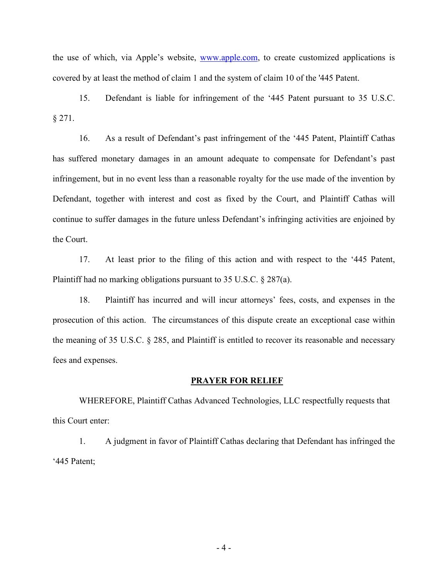the use of which, via Apple's website, www.apple.com, to create customized applications is covered by at least the method of claim 1 and the system of claim 10 of the '445 Patent.

15. Defendant is liable for infringement of the '445 Patent pursuant to 35 U.S.C. § 271.

16. As a result of Defendant's past infringement of the '445 Patent, Plaintiff Cathas has suffered monetary damages in an amount adequate to compensate for Defendant's past infringement, but in no event less than a reasonable royalty for the use made of the invention by Defendant, together with interest and cost as fixed by the Court, and Plaintiff Cathas will continue to suffer damages in the future unless Defendant's infringing activities are enjoined by the Court.

17. At least prior to the filing of this action and with respect to the '445 Patent, Plaintiff had no marking obligations pursuant to 35 U.S.C. § 287(a).

18. Plaintiff has incurred and will incur attorneys' fees, costs, and expenses in the prosecution of this action. The circumstances of this dispute create an exceptional case within the meaning of 35 U.S.C. § 285, and Plaintiff is entitled to recover its reasonable and necessary fees and expenses.

#### **PRAYER FOR RELIEF**

WHEREFORE, Plaintiff Cathas Advanced Technologies, LLC respectfully requests that this Court enter:

1. A judgment in favor of Plaintiff Cathas declaring that Defendant has infringed the '445 Patent;